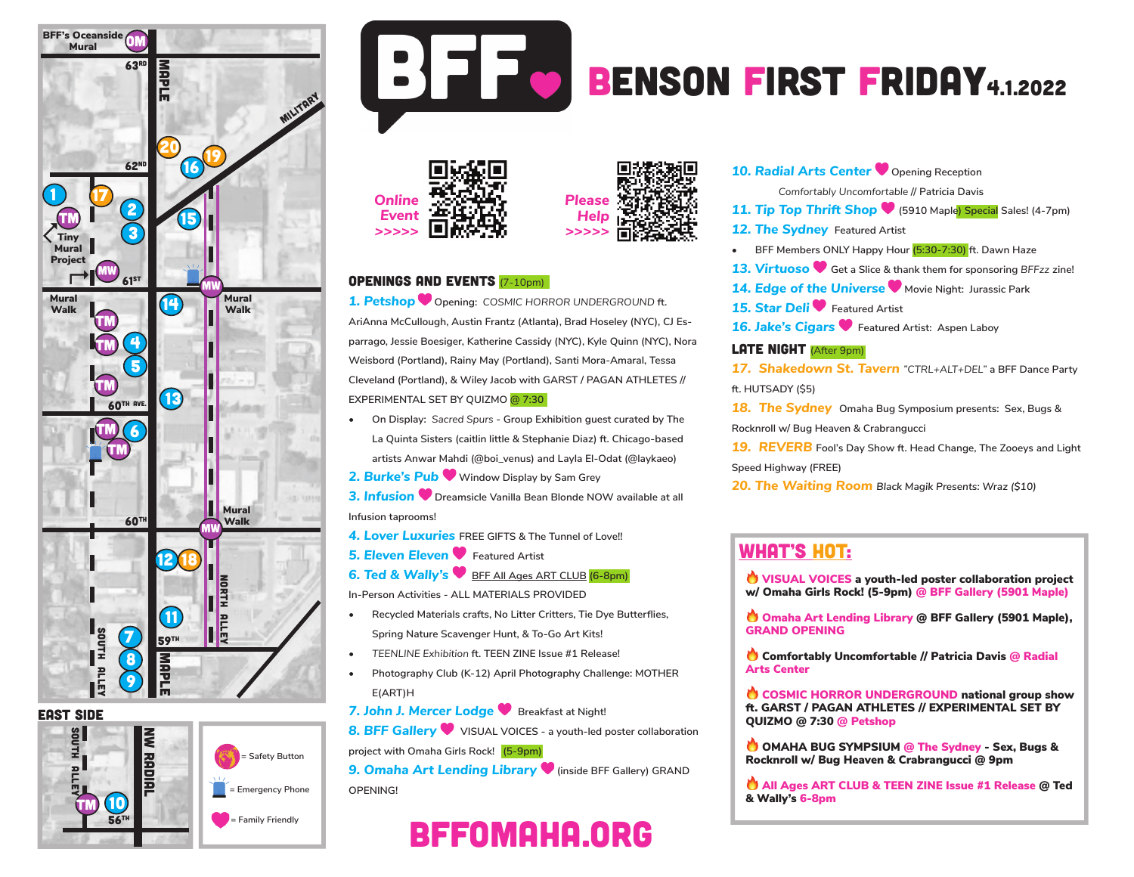

EAST side







# BENSON FIRST FRIDAY4.1.2022





#### Openings and Events (7-10pm)

*1. Petshop* **Opening:** *COSMIC HORROR UNDERGROUND* **ft. AriAnna McCullough, Austin Frantz (Atlanta), Brad Hoseley (NYC), CJ Esparrago, Jessie Boesiger, Katherine Cassidy (NYC), Kyle Quinn (NYC), Nora Weisbord (Portland), Rainy May (Portland), Santi Mora-Amaral, Tessa Cleveland (Portland), & Wiley Jacob with GARST / PAGAN ATHLETES // EXPERIMENTAL SET BY QUIZMO @ 7:30**

- **• On Display:** *Sacred Spurs*  **Group Exhibition guest curated by The La Quinta Sisters (caitlin little & Stephanie Diaz) ft. Chicago-based artists Anwar Mahdi (@boi\_venus) and Layla El-Odat (@laykaeo)**
- *2. Burke's Pub* **Window Display by Sam Grey**

*3. Infusion* **Dreamsicle Vanilla Bean Blonde NOW available at all Infusion taprooms!**

- *4. Lover Luxuries* **FREE GIFTS & The Tunnel of Love!!**
- **5. Eleven Eleven •** Featured Artist
- **6. Ted & Wally's BEF All Ages ART CLUB (6-8pm)**

**In-Person Activities - ALL MATERIALS PROVIDED**

- **• Recycled Materials crafts, No Litter Critters, Tie Dye Butterflies, Spring Nature Scavenger Hunt, & To-Go Art Kits!**
- *• TEENLINE Exhibition* **ft. TEEN ZINE Issue #1 Release!**
- **• Photography Club (K-12) April Photography Challenge: MOTHER E(ART)H**
- 7. John J. Mercer Lodge **W** Breakfast at Night!

**8. BFF Gallery**  $\bullet\$  VISUAL VOICES - a youth-led poster collaboration **project with Omaha Girls Rock! (5-9pm)**

**9. Omaha Art Lending Library**  $\bullet$  **(inside BFF Gallery) GRAND OPENING!**

# bffomaha.org

**10. Radial Arts Center** Opening Reception

*Comfortably Uncomfortable* **// Patricia Davis** 

*11. Tip Top Thrift Shop* **(5910 Maple) Special Sales! (4-7pm)**

- **12. The Sydney Featured Artist**
- **• BFF Members ONLY Happy Hour (5:30-7:30) ft. Dawn Haze**
- *13. Virtuoso* **Get a Slice & thank them for sponsoring** *BFFzz* **zine!**
- *14. Edge of the Universe* **Movie Night: Jurassic Park**
- *15. Star Deli* **Featured Artist**
- *16. Jake's Cigars* **Featured Artist: Aspen Laboy**

#### **LATE NIGHT** (After 9pm)

*17. Shakedown St. Tavern "CTRL+ALT+DEL"* **a BFF Dance Party ft. HUTSADY (\$5)**

*18. The Sydney* **Omaha Bug Symposium presents: Sex, Bugs & Rocknroll w/ Bug Heaven & Crabrangucci** 

*19. REVERB* **Fool's Day Show ft. Head Change, The Zooeys and Light** 

**Speed Highway (FREE)**

*20. The Waiting Room Black Magik Presents: Wraz (\$10)* 

### WHAT'S HOT:

VISUAL VOICES a youth-led poster collaboration project w/ Omaha Girls Rock! (5-9pm) @ BFF Gallery (5901 Maple)

O Omaha Art Lending Library @ BFF Gallery (5901 Maple), GRAND OPENING

Comfortably Uncomfortable // Patricia Davis @ Radial Arts Center

COSMIC HORROR UNDERGROUND national group show ft. GARST / PAGAN ATHLETES // EXPERIMENTAL SET BY QUIZMO @ 7:30 @ Petshop

OMAHA BUG SYMPSIUM @ The Sydney - Sex, Bugs & Rocknroll w/ Bug Heaven & Crabrangucci @ 9pm

All Ages ART CLUB & TEEN ZINE Issue #1 Release @ Ted & Wally's 6-8pm